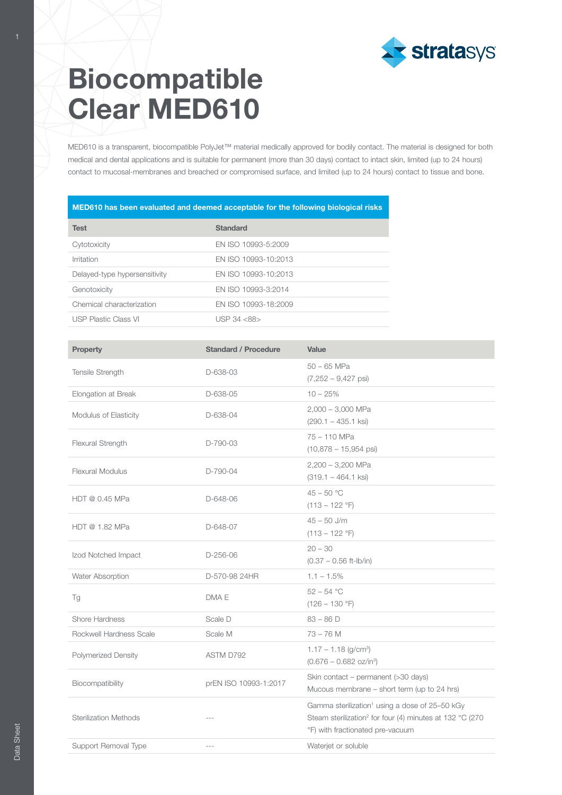

## Biocompatible Clear MED610

MED610 is a transparent, biocompatible PolyJet™ material medically approved for bodily contact. The material is designed for both medical and dental applications and is suitable for permanent (more than 30 days) contact to intact skin, limited (up to 24 hours) contact to mucosal-membranes and breached or compromised surface, and limited (up to 24 hours) contact to tissue and bone.

## MED610 has been evaluated and deemed acceptable for the following biological risks

| <b>Test</b>                   | <b>Standard</b>      |
|-------------------------------|----------------------|
| Cytotoxicity                  | EN ISO 10993-5:2009  |
| Irritation                    | EN ISO 10993-10:2013 |
| Delayed-type hypersensitivity | EN ISO 10993-10:2013 |
| Genotoxicity                  | EN ISO 10993-3:2014  |
| Chemical characterization     | EN ISO 10993-18:2009 |
| <b>USP Plastic Class VI</b>   | $I$ JSP 34 $<$ 88>   |

| Property                     | <b>Standard / Procedure</b> | Value                                                                                                                                                                  |  |
|------------------------------|-----------------------------|------------------------------------------------------------------------------------------------------------------------------------------------------------------------|--|
| Tensile Strength             | D-638-03                    | $50 - 65$ MPa<br>$(7,252 - 9,427 \text{ psi})$                                                                                                                         |  |
| Elongation at Break          | D-638-05                    | $10 - 25%$                                                                                                                                                             |  |
| Modulus of Elasticity        | D-638-04                    | $2,000 - 3,000$ MPa<br>$(290.1 - 435.1$ ksi)                                                                                                                           |  |
| Flexural Strength            | D-790-03                    | 75 - 110 MPa<br>$(10,878 - 15,954 \text{ psi})$                                                                                                                        |  |
| <b>Flexural Modulus</b>      | D-790-04                    | 2,200 - 3,200 MPa<br>$(319.1 - 464.1$ ksi)                                                                                                                             |  |
| HDT @ 0.45 MPa               | D-648-06                    | $45 - 50 °C$<br>$(113 - 122 \degree F)$                                                                                                                                |  |
| HDT @ 1.82 MPa               | D-648-07                    | $45 - 50$ J/m<br>$(113 - 122$ °F)                                                                                                                                      |  |
| Izod Notched Impact          | $D-256-06$                  | $20 - 30$<br>$(0.37 - 0.56$ ft-lb/in)                                                                                                                                  |  |
| Water Absorption             | D-570-98 24HR               | $1.1 - 1.5\%$                                                                                                                                                          |  |
| Tg                           | DMA E                       | $52 - 54 °C$<br>$(126 - 130 \degree F)$                                                                                                                                |  |
| Shore Hardness               | Scale D                     | $83 - 86$ D                                                                                                                                                            |  |
| Rockwell Hardness Scale      | Scale M                     | $73 - 76$ M                                                                                                                                                            |  |
| <b>Polymerized Density</b>   | ASTM D792                   | $1.17 - 1.18$ (g/cm <sup>3</sup> )<br>$(0.676 - 0.682 \text{ oz/in}^3)$                                                                                                |  |
| Biocompatibility             | prEN ISO 10993-1:2017       | Skin contact - permanent (>30 days)<br>Mucous membrane – short term (up to 24 hrs)                                                                                     |  |
| <b>Sterilization Methods</b> |                             | Gamma sterilization <sup>1</sup> using a dose of 25-50 kGy<br>Steam sterilization <sup>2</sup> for four (4) minutes at 132 °C (270<br>°F) with fractionated pre-vacuum |  |
| Support Removal Type         | $\overline{a}$              | Waterjet or soluble                                                                                                                                                    |  |